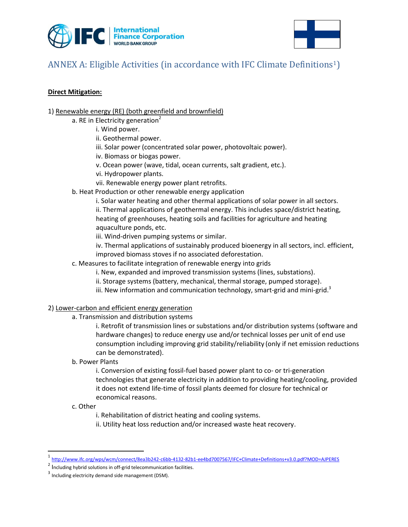



# ANNEX A: Eligible Activities (in accordance with IFC Climate Definitions1)

#### **Direct Mitigation:**

- 1) Renewable energy (RE) (both greenfield and brownfield)
	- a. RE in Electricity generation<sup>2</sup>
		- i. Wind power.
			- ii. Geothermal power.
			- iii. Solar power (concentrated solar power, photovoltaic power).
			- iv. Biomass or biogas power.
			- v. Ocean power (wave, tidal, ocean currents, salt gradient, etc.).
			- vi. Hydropower plants.
		- vii. Renewable energy power plant retrofits.
	- b. Heat Production or other renewable energy application
		- i. Solar water heating and other thermal applications of solar power in all sectors. ii. Thermal applications of geothermal energy. This includes space/district heating, heating of greenhouses, heating soils and facilities for agriculture and heating aquaculture ponds, etc.
		- iii. Wind-driven pumping systems or similar.
		- iv. Thermal applications of sustainably produced bioenergy in all sectors, incl. efficient, improved biomass stoves if no associated deforestation.
	- c. Measures to facilitate integration of renewable energy into grids
		- i. New, expanded and improved transmission systems (lines, substations).
		- ii. Storage systems (battery, mechanical, thermal storage, pumped storage).
		- iii. New information and communication technology, smart-grid and mini-grid.<sup>3</sup>
- 2) Lower-carbon and efficient energy generation
	- a. Transmission and distribution systems
		- i. Retrofit of transmission lines or substations and/or distribution systems (software and hardware changes) to reduce energy use and/or technical losses per unit of end use consumption including improving grid stability/reliability (only if net emission reductions can be demonstrated).
	- b. Power Plants
		- i. Conversion of existing fossil-fuel based power plant to co- or tri-generation technologies that generate electricity in addition to providing heating/cooling, provided it does not extend life-time of fossil plants deemed for closure for technical or economical reasons.
	- c. Other

 $\overline{\phantom{a}}$ 

- i. Rehabilitation of district heating and cooling systems.
- ii. Utility heat loss reduction and/or increased waste heat recovery.

<sup>1</sup> <http://www.ifc.org/wps/wcm/connect/8ea3b242-c6bb-4132-82b1-ee4bd7007567/IFC+Climate+Definitions+v3.0.pdf?MOD=AJPERES>

 $2$  Including hybrid solutions in off-grid telecommunication facilities.

 $3$  Including electricity demand side management (DSM).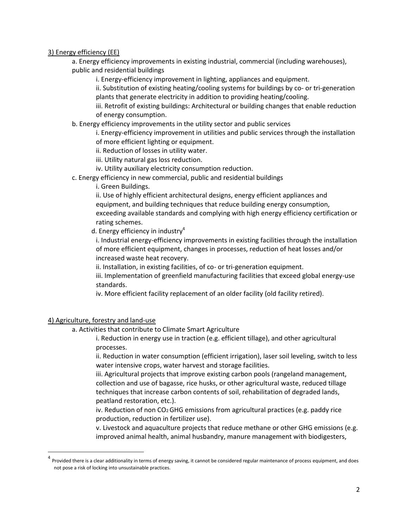3) Energy efficiency (EE)

a. Energy efficiency improvements in existing industrial, commercial (including warehouses), public and residential buildings

i. Energy-efficiency improvement in lighting, appliances and equipment.

ii. Substitution of existing heating/cooling systems for buildings by co- or tri-generation plants that generate electricity in addition to providing heating/cooling.

iii. Retrofit of existing buildings: Architectural or building changes that enable reduction of energy consumption.

b. Energy efficiency improvements in the utility sector and public services

i. Energy-efficiency improvement in utilities and public services through the installation of more efficient lighting or equipment.

ii. Reduction of losses in utility water.

iii. Utility natural gas loss reduction.

iv. Utility auxiliary electricity consumption reduction.

c. Energy efficiency in new commercial, public and residential buildings

i. Green Buildings.

ii. Use of highly efficient architectural designs, energy efficient appliances and equipment, and building techniques that reduce building energy consumption, exceeding available standards and complying with high energy efficiency certification or rating schemes.

d. Energy efficiency in industry<sup>4</sup>

i. Industrial energy-efficiency improvements in existing facilities through the installation of more efficient equipment, changes in processes, reduction of heat losses and/or increased waste heat recovery.

ii. Installation, in existing facilities, of co- or tri-generation equipment.

iii. Implementation of greenfield manufacturing facilities that exceed global energy-use standards.

iv. More efficient facility replacement of an older facility (old facility retired).

#### 4) Agriculture, forestry and land-use

 $\overline{\phantom{a}}$ 

a. Activities that contribute to Climate Smart Agriculture

i. Reduction in energy use in traction (e.g. efficient tillage), and other agricultural processes.

ii. Reduction in water consumption (efficient irrigation), laser soil leveling, switch to less water intensive crops, water harvest and storage facilities.

iii. Agricultural projects that improve existing carbon pools (rangeland management, collection and use of bagasse, rice husks, or other agricultural waste, reduced tillage techniques that increase carbon contents of soil, rehabilitation of degraded lands, peatland restoration, etc.).

iv. Reduction of non CO2 GHG emissions from agricultural practices (e.g. paddy rice production, reduction in fertilizer use).

v. Livestock and aquaculture projects that reduce methane or other GHG emissions (e.g. improved animal health, animal husbandry, manure management with biodigesters,

<sup>&</sup>lt;sup>4</sup> Provided there is a clear additionality in terms of energy saving, it cannot be considered regular maintenance of process equipment, and does not pose a risk of locking into unsustainable practices.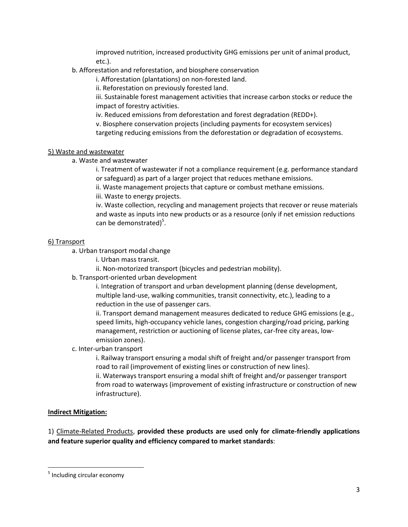improved nutrition, increased productivity GHG emissions per unit of animal product, etc.).

## b. Afforestation and reforestation, and biosphere conservation

i. Afforestation (plantations) on non-forested land.

ii. Reforestation on previously forested land.

iii. Sustainable forest management activities that increase carbon stocks or reduce the impact of forestry activities.

iv. Reduced emissions from deforestation and forest degradation (REDD+).

v. Biosphere conservation projects (including payments for ecosystem services)

targeting reducing emissions from the deforestation or degradation of ecosystems.

#### 5) Waste and wastewater

a. Waste and wastewater

i. Treatment of wastewater if not a compliance requirement (e.g. performance standard or safeguard) as part of a larger project that reduces methane emissions.

ii. Waste management projects that capture or combust methane emissions.

iii. Waste to energy projects.

iv. Waste collection, recycling and management projects that recover or reuse materials and waste as inputs into new products or as a resource (only if net emission reductions can be demonstrated)<sup>5</sup>.

#### 6) Transport

a. Urban transport modal change

- i. Urban mass transit.
- ii. Non-motorized transport (bicycles and pedestrian mobility).
- b. Transport-oriented urban development

i. Integration of transport and urban development planning (dense development, multiple land-use, walking communities, transit connectivity, etc.), leading to a reduction in the use of passenger cars.

ii. Transport demand management measures dedicated to reduce GHG emissions (e.g., speed limits, high-occupancy vehicle lanes, congestion charging/road pricing, parking management, restriction or auctioning of license plates, car-free city areas, lowemission zones).

c. Inter-urban transport

i. Railway transport ensuring a modal shift of freight and/or passenger transport from road to rail (improvement of existing lines or construction of new lines).

ii. Waterways transport ensuring a modal shift of freight and/or passenger transport from road to waterways (improvement of existing infrastructure or construction of new infrastructure).

### **Indirect Mitigation:**

1) Climate-Related Products, **provided these products are used only for climate-friendly applications and feature superior quality and efficiency compared to market standards**:

 $\overline{\phantom{a}}$ 

<sup>&</sup>lt;sup>5</sup> Including circular economy